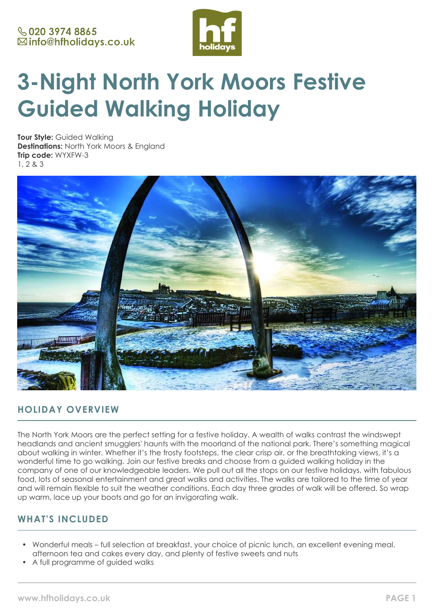

# **3-Night North York Moors Festive Guided Walking Holiday**

**Tour Style:** Guided Walking **Destinations:** North York Moors & England **Trip code:** WYXFW-3 1, 2 & 3



# **HOLIDAY OVERVIEW**

The North York Moors are the perfect setting for a festive holiday. A wealth of walks contrast the windswept headlands and ancient smugglers' haunts with the moorland of the national park. There's something magical about walking in winter. Whether it's the frosty footsteps, the clear crisp air, or the breathtaking views, it's a wonderful time to go walking. Join our festive breaks and choose from a guided walking holiday in the company of one of our knowledgeable leaders. We pull out all the stops on our festive holidays, with fabulous food, lots of seasonal entertainment and great walks and activities. The walks are tailored to the time of year and will remain flexible to suit the weather conditions. Each day three grades of walk will be offered. So wrap up warm, lace up your boots and go for an invigorating walk.

# **WHAT'S INCLUDED**

- Wonderful meals full selection at breakfast, your choice of picnic lunch, an excellent evening meal, afternoon tea and cakes every day, and plenty of festive sweets and nuts
- A full programme of guided walks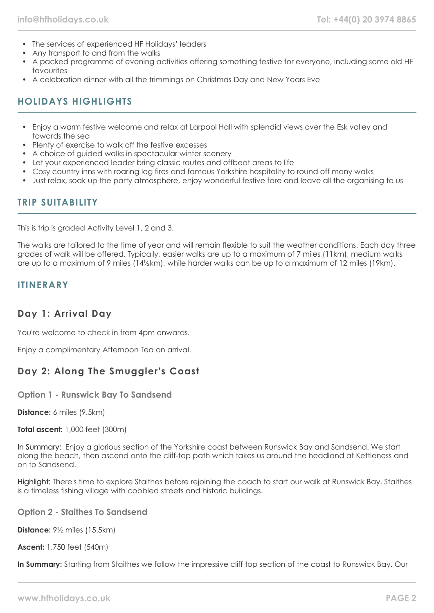- The services of experienced HF Holidays' leaders
- Any transport to and from the walks
- A packed programme of evening activities offering something festive for everyone, including some old HF favourites
- A celebration dinner with all the trimmings on Christmas Day and New Years Eve

# **HOLIDAYS HIGHLIGHTS**

- Enjoy a warm festive welcome and relax at Larpool Hall with splendid views over the Esk valley and towards the sea
- Plenty of exercise to walk off the festive excesses
- A choice of guided walks in spectacular winter scenery
- Let your experienced leader bring classic routes and offbeat areas to life
- Cosy country inns with roaring log fires and famous Yorkshire hospitality to round off many walks
- Just relax, soak up the party atmosphere, enjoy wonderful festive fare and leave all the organising to us

## **TRIP SUITABILITY**

This is trip is graded Activity Level 1, 2 and 3.

The walks are tailored to the time of year and will remain flexible to suit the weather conditions. Each day three grades of walk will be offered. Typically, easier walks are up to a maximum of 7 miles (11km), medium walks are up to a maximum of 9 miles (14½km), while harder walks can be up to a maximum of 12 miles (19km).

#### **ITINERARY**

## **Day 1: Arrival Day**

You're welcome to check in from 4pm onwards.

Enjoy a complimentary Afternoon Tea on arrival.

## **Day 2: Along The Smuggler's Coast**

**Option 1 - Runswick Bay To Sandsend**

**Distance:** 6 miles (9.5km)

**Total ascent:** 1,000 feet (300m)

In Summary: Enjoy a glorious section of the Yorkshire coast between Runswick Bay and Sandsend. We start along the beach, then ascend onto the cliff-top path which takes us around the headland at Kettleness and on to Sandsend.

Highlight: There's time to explore Staithes before rejoining the coach to start our walk at Runswick Bay. Staithes is a timeless fishing village with cobbled streets and historic buildings.

**Option 2 - Staithes To Sandsend**

**Distance:** 9½ miles (15.5km)

**Ascent:** 1,750 feet (540m)

**In Summary:** Starting from Staithes we follow the impressive cliff top section of the coast to Runswick Bay. Our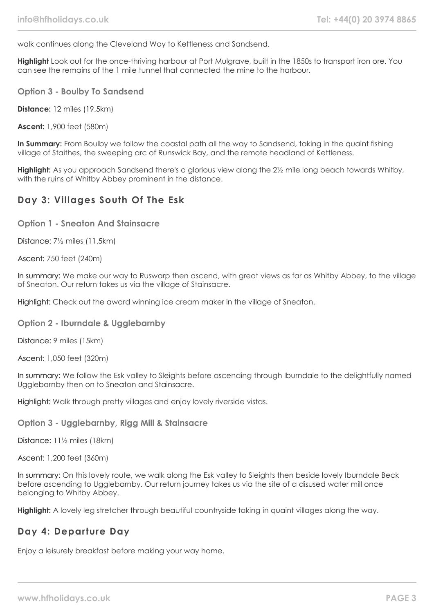walk continues along the Cleveland Way to Kettleness and Sandsend.

**Highlight** Look out for the once-thriving harbour at Port Mulgrave, built in the 1850s to transport iron ore. You can see the remains of the 1 mile tunnel that connected the mine to the harbour.

**Option 3 - Boulby To Sandsend**

**Distance:** 12 miles (19.5km)

**Ascent:** 1,900 feet (580m)

In Summary: From Boulby we follow the coastal path all the way to Sandsend, taking in the quaint fishing village of Staithes, the sweeping arc of Runswick Bay, and the remote headland of Kettleness.

**Highlight:** As you approach Sandsend there's a glorious view along the 2½ mile long beach towards Whitby, with the ruins of Whitby Abbey prominent in the distance.

## **Day 3: Villages South Of The Esk**

**Option 1 - Sneaton And Stainsacre**

Distance: 7½ miles (11.5km)

Ascent: 750 feet (240m)

In summary: We make our way to Ruswarp then ascend, with great views as far as Whitby Abbey, to the village of Sneaton. Our return takes us via the village of Stainsacre.

Highlight: Check out the award winning ice cream maker in the village of Sneaton.

**Option 2 - Iburndale & Ugglebarnby**

Distance: 9 miles (15km)

Ascent: 1,050 feet (320m)

In summary: We follow the Esk valley to Sleights before ascending through Iburndale to the delightfully named Ugglebarnby then on to Sneaton and Stainsacre.

Highlight: Walk through pretty villages and enjoy lovely riverside vistas.

**Option 3 - Ugglebarnby, Rigg Mill & Stainsacre**

Distance: 11½ miles (18km)

Ascent: 1,200 feet (360m)

In summary: On this lovely route, we walk along the Esk valley to Sleights then beside lovely Iburndale Beck before ascending to Ugglebarnby. Our return journey takes us via the site of a disused water mill once belonging to Whitby Abbey.

**Highlight:** A lovely leg stretcher through beautiful countryside taking in quaint villages along the way.

## **Day 4: Departure Day**

Enjoy a leisurely breakfast before making your way home.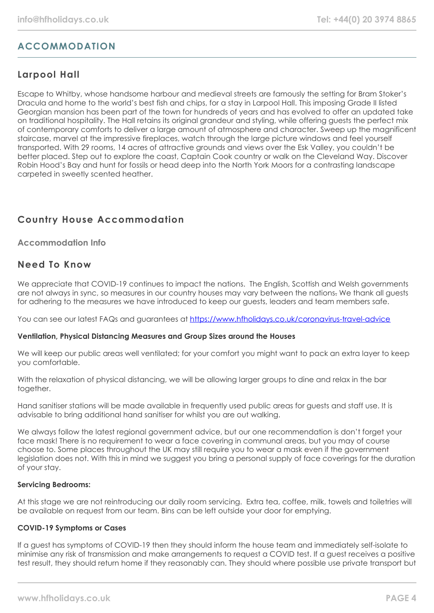# **ACCOMMODATION**

# **Larpool Hall**

Escape to Whitby, whose handsome harbour and medieval streets are famously the setting for Bram Stoker's Dracula and home to the world's best fish and chips, for a stay in Larpool Hall. This imposing Grade II listed Georgian mansion has been part of the town for hundreds of years and has evolved to offer an updated take on traditional hospitality. The Hall retains its original grandeur and styling, while offering guests the perfect mix of contemporary comforts to deliver a large amount of atmosphere and character. Sweep up the magnificent staircase, marvel at the impressive fireplaces, watch through the large picture windows and feel yourself transported. With 29 rooms, 14 acres of attractive grounds and views over the Esk Valley, you couldn't be better placed. Step out to explore the coast, Captain Cook country or walk on the Cleveland Way. Discover Robin Hood's Bay and hunt for fossils or head deep into the North York Moors for a contrasting landscape carpeted in sweetly scented heather.

# **Country House Accommodation**

#### **Accommodation Info**

## **Need To Know**

We appreciate that COVID-19 continues to impact the nations. The English, Scottish and Welsh governments are not always in sync, so measures in our country houses may vary between the nations. We thank all quests for adhering to the measures we have introduced to keep our guests, leaders and team members safe.

You can see our latest FAQs and guarantees at <https://www.hfholidays.co.uk/coronavirus-travel-advice>

#### **Ventilation, Physical Distancing Measures and Group Sizes around the Houses**

We will keep our public areas well ventilated; for your comfort you might want to pack an extra layer to keep you comfortable.

With the relaxation of physical distancing, we will be allowing larger groups to dine and relax in the bar together.

Hand sanitiser stations will be made available in frequently used public areas for guests and staff use. It is advisable to bring additional hand sanitiser for whilst you are out walking.

We always follow the latest regional government advice, but our one recommendation is don't forget your face mask! There is no requirement to wear a face covering in communal areas, but you may of course choose to. Some places throughout the UK may still require you to wear a mask even if the government legislation does not. With this in mind we suggest you bring a personal supply of face coverings for the duration of your stay.

#### **Servicing Bedrooms:**

At this stage we are not reintroducing our daily room servicing. Extra tea, coffee, milk, towels and toiletries will be available on request from our team. Bins can be left outside your door for emptying.

#### **COVID-19 Symptoms or Cases**

If a guest has symptoms of COVID-19 then they should inform the house team and immediately self-isolate to minimise any risk of transmission and make arrangements to request a COVID test. If a guest receives a positive test result, they should return home if they reasonably can. They should where possible use private transport but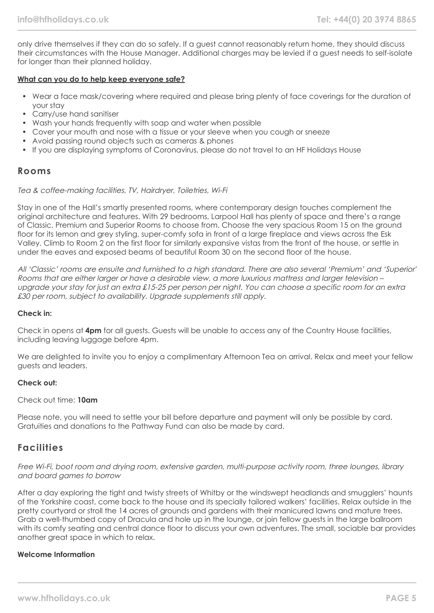only drive themselves if they can do so safely. If a guest cannot reasonably return home, they should discuss their circumstances with the House Manager. Additional charges may be levied if a guest needs to self-isolate for longer than their planned holiday.

#### **What can you do to help keep everyone safe?**

- Wear a face mask/covering where required and please bring plenty of face coverings for the duration of your stay
- Carry/use hand sanitiser
- Wash your hands frequently with soap and water when possible
- Cover your mouth and nose with a tissue or your sleeve when you cough or sneeze
- Avoid passing round objects such as cameras & phones
- If you are displaying symptoms of Coronavirus, please do not travel to an HF Holidays House

#### **Rooms**

#### Tea & coffee-making facilities, TV, Hairdryer, Toiletries, Wi-Fi

Stay in one of the Hall's smartly presented rooms, where contemporary design touches complement the original architecture and features. With 29 bedrooms, Larpool Hall has plenty of space and there's a range of Classic, Premium and Superior Rooms to choose from. Choose the very spacious Room 15 on the ground floor for its lemon and grey styling, super-comfy sofa in front of a large fireplace and views across the Esk Valley. Climb to Room 2 on the first floor for similarly expansive vistas from the front of the house, or settle in under the eaves and exposed beams of beautiful Room 30 on the second floor of the house.

All 'Classic' rooms are ensuite and furnished to a high standard. There are also several 'Premium' and 'Superior' Rooms that are either larger or have a desirable view, a more luxurious mattress and larger television – upgrade your stay for just an extra £15-25 per person per night. You can choose a specific room for an extra £30 per room, subject to availability. Upgrade supplements still apply.

#### **Check in:**

Check in opens at **4pm** for all guests. Guests will be unable to access any of the Country House facilities, including leaving luggage before 4pm.

We are delighted to invite you to enjoy a complimentary Afternoon Tea on arrival. Relax and meet your fellow guests and leaders.

#### **Check out:**

#### Check out time: **10am**

Please note, you will need to settle your bill before departure and payment will only be possible by card. Gratuities and donations to the Pathway Fund can also be made by card.

## **Facilities**

#### Free Wi-Fi, boot room and drying room, extensive garden, multi-purpose activity room, three lounges, library and board games to borrow

After a day exploring the tight and twisty streets of Whitby or the windswept headlands and smugglers' haunts of the Yorkshire coast, come back to the house and its specially tailored walkers' facilities. Relax outside in the pretty courtyard or stroll the 14 acres of grounds and gardens with their manicured lawns and mature trees. Grab a well-thumbed copy of Dracula and hole up in the lounge, or join fellow guests in the large ballroom with its comfy seating and central dance floor to discuss your own adventures. The small, sociable bar provides another great space in which to relax.

#### **Welcome Information**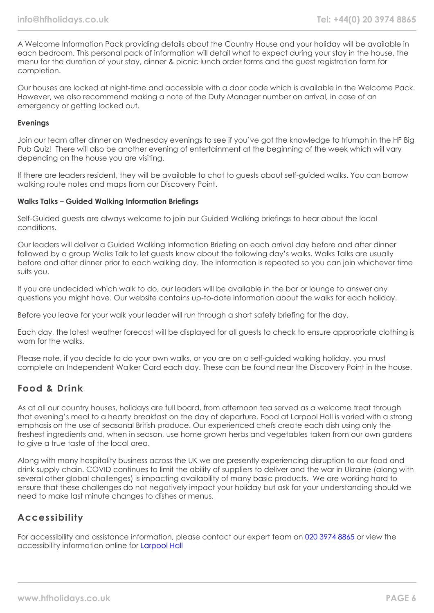A Welcome Information Pack providing details about the Country House and your holiday will be available in each bedroom. This personal pack of information will detail what to expect during your stay in the house, the menu for the duration of your stay, dinner & picnic lunch order forms and the guest registration form for completion.

Our houses are locked at night-time and accessible with a door code which is available in the Welcome Pack. However, we also recommend making a note of the Duty Manager number on arrival, in case of an emergency or getting locked out.

#### **Evenings**

Join our team after dinner on Wednesday evenings to see if you've got the knowledge to triumph in the HF Big Pub Quiz! There will also be another evening of entertainment at the beginning of the week which will vary depending on the house you are visiting.

If there are leaders resident, they will be available to chat to guests about self-guided walks. You can borrow walking route notes and maps from our Discovery Point.

#### **Walks Talks – Guided Walking Information Briefings**

Self-Guided guests are always welcome to join our Guided Walking briefings to hear about the local conditions.

Our leaders will deliver a Guided Walking Information Briefing on each arrival day before and after dinner followed by a group Walks Talk to let guests know about the following day's walks. Walks Talks are usually before and after dinner prior to each walking day. The information is repeated so you can join whichever time suits you.

If you are undecided which walk to do, our leaders will be available in the bar or lounge to answer any questions you might have. Our website contains up-to-date information about the walks for each holiday.

Before you leave for your walk your leader will run through a short safety briefing for the day.

Each day, the latest weather forecast will be displayed for all guests to check to ensure appropriate clothing is worn for the walks.

Please note, if you decide to do your own walks, or you are on a self-guided walking holiday, you must complete an Independent Walker Card each day. These can be found near the Discovery Point in the house.

## **Food & Drink**

As at all our country houses, holidays are full board, from afternoon tea served as a welcome treat through that evening's meal to a hearty breakfast on the day of departure. Food at Larpool Hall is varied with a strong emphasis on the use of seasonal British produce. Our experienced chefs create each dish using only the freshest ingredients and, when in season, use home grown herbs and vegetables taken from our own gardens to give a true taste of the local area.

Along with many hospitality business across the UK we are presently experiencing disruption to our food and drink supply chain. COVID continues to limit the ability of suppliers to deliver and the war in Ukraine (along with several other global challenges) is impacting availability of many basic products. We are working hard to ensure that these challenges do not negatively impact your holiday but ask for your understanding should we need to make last minute changes to dishes or menus.

## **Accessibility**

For accessibility and assistance information, please contact our expert team on [020 3974 8865](tel:02039748865) or view the accessibility information online for [Larpool Hall](https://www.hfholidays.co.uk/%22images/Documents/accessibility_statements/larpool-hall---accessibility-information---update-mar-2021.pdf%22)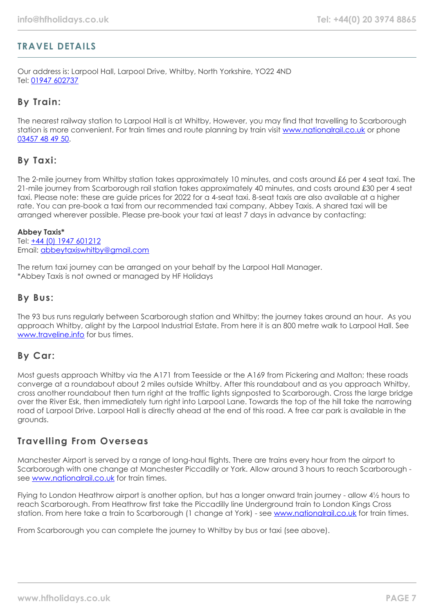## **TRAVEL DETAILS**

Our address is: Larpool Hall, Larpool Drive, Whitby, North Yorkshire, YO22 4ND Tel: [01947 602737](tel:01947602737)

## **By Train:**

The nearest railway station to Larpool Hall is at Whitby, However, you may find that travelling to Scarborough station is more convenient. For train times and route planning by train visit [www.nationalrail.co.uk](https://www.nationalrail.co.uk/) or phone [03457 48 49 50.](tel:03457484950)

## **By Taxi:**

The 2-mile journey from Whitby station takes approximately 10 minutes, and costs around £6 per 4 seat taxi. The 21-mile journey from Scarborough rail station takes approximately 40 minutes, and costs around £30 per 4 seat taxi. Please note: these are guide prices for 2022 for a 4-seat taxi. 8-seat taxis are also available at a higher rate. You can pre-book a taxi from our recommended taxi company, Abbey Taxis. A shared taxi will be arranged wherever possible. Please pre-book your taxi at least 7 days in advance by contacting:

#### **Abbey Taxis\***

Tel: [+44 \(0\) 1947 601212](tel:01947601212) Email: [abbeytaxiswhitby@gmail.com](mailto:abbeytaxiswhitby@gmail.com)

The return taxi journey can be arranged on your behalf by the Larpool Hall Manager. \*Abbey Taxis is not owned or managed by HF Holidays

## **By Bus:**

The 93 bus runs regularly between Scarborough station and Whitby; the journey takes around an hour. As you approach Whitby, alight by the Larpool Industrial Estate. From here it is an 800 metre walk to Larpool Hall. See [www.traveline.info](https://www.traveline.info/) for bus times.

## **By Car:**

Most guests approach Whitby via the A171 from Teesside or the A169 from Pickering and Malton; these roads converge at a roundabout about 2 miles outside Whitby. After this roundabout and as you approach Whitby, cross another roundabout then turn right at the traffic lights signposted to Scarborough. Cross the large bridge over the River Esk, then immediately turn right into Larpool Lane. Towards the top of the hill take the narrowing road of Larpool Drive. Larpool Hall is directly ahead at the end of this road. A free car park is available in the grounds.

## **Travelling From Overseas**

Manchester Airport is served by a range of long-haul flights. There are trains every hour from the airport to Scarborough with one change at Manchester Piccadilly or York. Allow around 3 hours to reach Scarborough see [www.nationalrail.co.uk](https://www.nationalrail.co.uk/) for train times.

Flying to London Heathrow airport is another option, but has a longer onward train journey - allow 4½ hours to reach Scarborough. From Heathrow first take the Piccadilly line Underground train to London Kings Cross station. From here take a train to Scarborough (1 change at York) - see [www.nationalrail.co.uk](https://www.nationalrail.co.uk/) for train times.

From Scarborough you can complete the journey to Whitby by bus or taxi (see above).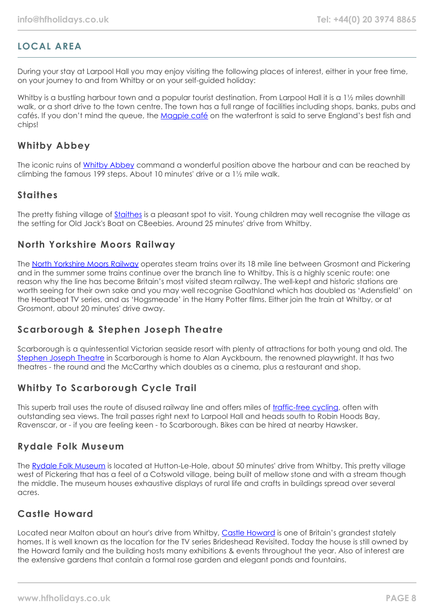# **LOCAL AREA**

During your stay at Larpool Hall you may enjoy visiting the following places of interest, either in your free time, on your journey to and from Whitby or on your self-guided holiday:

Whitby is a bustling harbour town and a popular tourist destination. From Larpool Hall it is a 1½ miles downhill walk, or a short drive to the town centre. The town has a full range of facilities including shops, banks, pubs and cafés. If you don't mind the queue, the [Magpie café](http://www.magpiecafe.co.uk/) on the waterfront is said to serve England's best fish and chips!

## **Whitby Abbey**

The iconic ruins of [Whitby Abbey](https://www.english-heritage.org.uk/visit/places/whitby-abbey/) command a wonderful position above the harbour and can be reached by climbing the famous 199 steps. About 10 minutes' drive or a 1½ mile walk.

## **Staithes**

The pretty fishing village of [Staithes](https://www.yorkshire.com/places/yorkshire-coast/staithes) is a pleasant spot to visit. Young children may well recognise the village as the setting for Old Jack's Boat on CBeebies. Around 25 minutes' drive from Whitby.

## **North Yorkshire Moors Railway**

The [North Yorkshire Moors Railway](https://www.nymr.co.uk/) operates steam trains over its 18 mile line between Grosmont and Pickering and in the summer some trains continue over the branch line to Whitby. This is a highly scenic route: one reason why the line has become Britain's most visited steam railway. The well-kept and historic stations are worth seeing for their own sake and you may well recognise Goathland which has doubled as 'Adensfield' on the Heartbeat TV series, and as 'Hoasmeade' in the Harry Potter films. Either join the train at Whitby, or at Grosmont, about 20 minutes' drive away.

## **Scarborough & Stephen Joseph Theatre**

Scarborough is a quintessential Victorian seaside resort with plenty of attractions for both young and old. The [Stephen Joseph Theatre](https://www.sjt.uk.com/) in Scarborough is home to Alan Ayckbourn, the renowned playwright. It has two theatres - the round and the McCarthy which doubles as a cinema, plus a restaurant and shop.

## **Whitby To Scarborough Cycle Trail**

This superb trail uses the route of disused railway line and offers miles of [traffic-free cycling](https://www.trailways.info/), often with outstanding sea views. The trail passes right next to Larpool Hall and heads south to Robin Hoods Bay, Ravenscar, or - if you are feeling keen - to Scarborough. Bikes can be hired at nearby Hawsker.

## **Rydale Folk Museum**

The [Rydale Folk Museum](https://www.ryedalefolkmuseum.co.uk/) is located at Hutton-Le-Hole, about 50 minutes' drive from Whitby. This pretty village west of Pickering that has a feel of a Cotswold village, being built of mellow stone and with a stream though the middle. The museum houses exhaustive displays of rural life and crafts in buildings spread over several acres.

## **Castle Howard**

Located near Malton about an hour's drive from Whitby, [Castle Howard](https://www.castlehoward.co.uk/) is one of Britain's grandest stately homes. It is well known as the location for the TV series Brideshead Revisited. Today the house is still owned by the Howard family and the building hosts many exhibitions & events throughout the year. Also of interest are the extensive gardens that contain a formal rose garden and elegant ponds and fountains.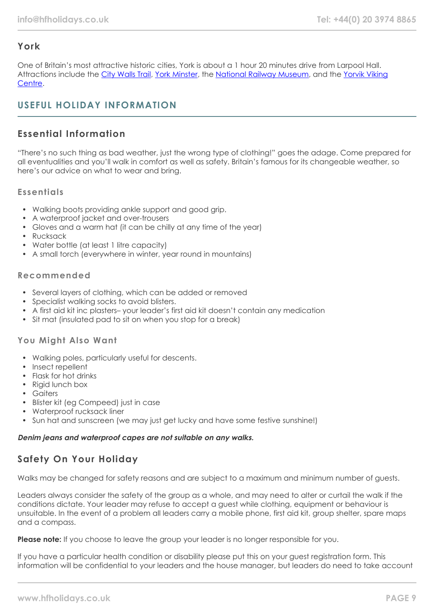# **York**

One of Britain's most attractive historic cities, York is about a 1 hour 20 minutes drive from Larpool Hall. Attractions include the [City Walls Trail](https://www.yorkwalls.org.uk/?page_id=3690), [York Minster](https://yorkminster.org/), the [National Railway Museum,](https://www.railwaymuseum.org.uk/) and the [Yorvik Viking](https://www.jorvikvikingcentre.co.uk/) [Centre](https://www.jorvikvikingcentre.co.uk/).

# **USEFUL HOLIDAY INFORMATION**

# **Essential Information**

"There's no such thing as bad weather, just the wrong type of clothing!" goes the adage. Come prepared for all eventualities and you'll walk in comfort as well as safety. Britain's famous for its changeable weather, so here's our advice on what to wear and bring.

#### **Essentials**

- Walking boots providing ankle support and good grip.
- A waterproof jacket and over-trousers
- Gloves and a warm hat (it can be chilly at any time of the year)
- Rucksack
- Water bottle (at least 1 litre capacity)
- A small torch (everywhere in winter, year round in mountains)

#### **Recommended**

- Several layers of clothing, which can be added or removed
- Specialist walking socks to avoid blisters.
- A first aid kit inc plasters– your leader's first aid kit doesn't contain any medication
- Sit mat (insulated pad to sit on when you stop for a break)

## **You Might Also Want**

- Walking poles, particularly useful for descents.
- Insect repellent
- Flask for hot drinks
- Rigid lunch box
- Gaiters
- Blister kit (eg Compeed) just in case
- Waterproof rucksack liner
- Sun hat and sunscreen (we may just get lucky and have some festive sunshine!)

#### **Denim jeans and waterproof capes are not suitable on any walks.**

# **Safety On Your Holiday**

Walks may be changed for safety reasons and are subject to a maximum and minimum number of guests.

Leaders always consider the safety of the group as a whole, and may need to alter or curtail the walk if the conditions dictate. Your leader may refuse to accept a guest while clothing, equipment or behaviour is unsuitable. In the event of a problem all leaders carry a mobile phone, first aid kit, group shelter, spare maps and a compass.

**Please note:** If you choose to leave the group your leader is no longer responsible for you.

If you have a particular health condition or disability please put this on your guest registration form. This information will be confidential to your leaders and the house manager, but leaders do need to take account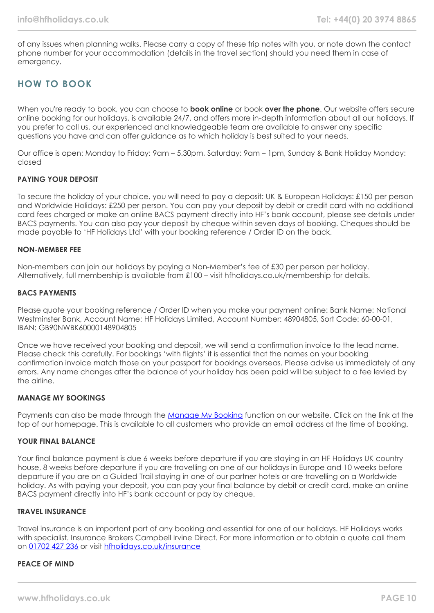of any issues when planning walks. Please carry a copy of these trip notes with you, or note down the contact phone number for your accommodation (details in the travel section) should you need them in case of emergency.

# **HOW TO BOOK**

When you're ready to book, you can choose to **book online** or book **over the phone**. Our website offers secure online booking for our holidays, is available 24/7, and offers more in-depth information about all our holidays. If you prefer to call us, our experienced and knowledgeable team are available to answer any specific questions you have and can offer guidance as to which holiday is best suited to your needs.

Our office is open: Monday to Friday: 9am – 5.30pm, Saturday: 9am – 1pm, Sunday & Bank Holiday Monday: closed

#### **PAYING YOUR DEPOSIT**

To secure the holiday of your choice, you will need to pay a deposit: UK & European Holidays: £150 per person and Worldwide Holidays: £250 per person. You can pay your deposit by debit or credit card with no additional card fees charged or make an online BACS payment directly into HF's bank account, please see details under BACS payments. You can also pay your deposit by cheque within seven days of booking. Cheques should be made payable to 'HF Holidays Ltd' with your booking reference / Order ID on the back.

#### **NON-MEMBER FEE**

Non-members can join our holidays by paying a Non-Member's fee of £30 per person per holiday. Alternatively, full membership is available from £100 – visit hfholidays.co.uk/membership for details.

#### **BACS PAYMENTS**

Please quote your booking reference / Order ID when you make your payment online: Bank Name: National Westminster Bank, Account Name: HF Holidays Limited, Account Number: 48904805, Sort Code: 60-00-01, IBAN: GB90NWBK60000148904805

Once we have received your booking and deposit, we will send a confirmation invoice to the lead name. Please check this carefully. For bookings 'with flights' it is essential that the names on your booking confirmation invoice match those on your passport for bookings overseas. Please advise us immediately of any errors. Any name changes after the balance of your holiday has been paid will be subject to a fee levied by the airline.

#### **MANAGE MY BOOKINGS**

Payments can also be made through the [Manage My Booking](https://www.hfholidays.co.uk/about-us/bookings/my-booking) function on our website. Click on the link at the top of our homepage. This is available to all customers who provide an email address at the time of booking.

#### **YOUR FINAL BALANCE**

Your final balance payment is due 6 weeks before departure if you are staying in an HF Holidays UK country house, 8 weeks before departure if you are travelling on one of our holidays in Europe and 10 weeks before departure if you are on a Guided Trail staying in one of our partner hotels or are travelling on a Worldwide holiday. As with paying your deposit, you can pay your final balance by debit or credit card, make an online BACS payment directly into HF's bank account or pay by cheque.

#### **TRAVEL INSURANCE**

Travel insurance is an important part of any booking and essential for one of our holidays. HF Holidays works with specialist. Insurance Brokers Campbell Irvine Direct. For more information or to obtain a quote call them on [01702 427 236](tel:01702427236) or visit [hfholidays.co.uk/insurance](https://www.hfholidays.co.uk/about-us/bookings/insurance)

#### **PEACE OF MIND**